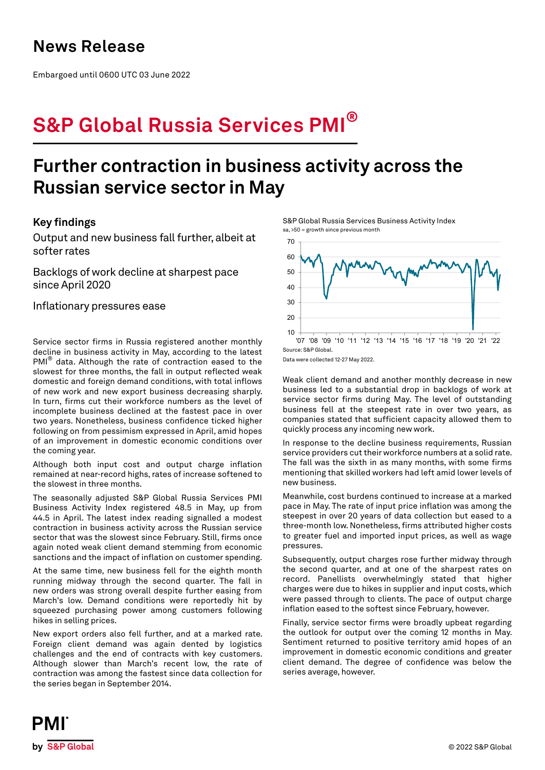### **News Release**

Embargoed until 0600 UTC 03 June 2022

# **S&P Global Russia Services PMI®**

## **Further contraction in business activity across the Russian service sector in May**

### **Key findings**

Output and new business fall further, albeit at softer rates

Backlogs of work decline at sharpest pace since April 2020

Inflationary pressures ease

Service sector firms in Russia registered another monthly decline in business activity in May, according to the latest PMI<sup>®</sup> data. Although the rate of contraction eased to the slowest for three months, the fall in output reflected weak domestic and foreign demand conditions, with total inflows of new work and new export business decreasing sharply. In turn, firms cut their workforce numbers as the level of incomplete business declined at the fastest pace in over two years. Nonetheless, business confidence ticked higher following on from pessimism expressed in April, amid hopes of an improvement in domestic economic conditions over the coming year.

Although both input cost and output charge inflation remained at near-record highs, rates of increase softened to the slowest in three months.

The seasonally adjusted S&P Global Russia Services PMI Business Activity Index registered 48.5 in May, up from 44.5 in April. The latest index reading signalled a modest contraction in business activity across the Russian service sector that was the slowest since February. Still, firms once again noted weak client demand stemming from economic sanctions and the impact of inflation on customer spending.

At the same time, new business fell for the eighth month running midway through the second quarter. The fall in new orders was strong overall despite further easing from March's low. Demand conditions were reportedly hit by squeezed purchasing power among customers following hikes in selling prices.

New export orders also fell further, and at a marked rate. Foreign client demand was again dented by logistics challenges and the end of contracts with key customers. Although slower than March's recent low, the rate of contraction was among the fastest since data collection for the series began in September 2014.

S&P Global Russia Services Business Activity Index sa, >50 = growth since previous month



Data were collected 12-27 May 2022.

Weak client demand and another monthly decrease in new business led to a substantial drop in backlogs of work at service sector firms during May. The level of outstanding business fell at the steepest rate in over two years, as companies stated that sufficient capacity allowed them to quickly process any incoming new work.

In response to the decline business requirements, Russian service providers cut their workforce numbers at a solid rate. The fall was the sixth in as many months, with some firms mentioning that skilled workers had left amid lower levels of new business.

Meanwhile, cost burdens continued to increase at a marked pace in May. The rate of input price inflation was among the steepest in over 20 years of data collection but eased to a three-month low. Nonetheless, firms attributed higher costs to greater fuel and imported input prices, as well as wage pressures.

Subsequently, output charges rose further midway through the second quarter, and at one of the sharpest rates on record. Panellists overwhelmingly stated that higher charges were due to hikes in supplier and input costs, which were passed through to clients. The pace of output charge inflation eased to the softest since February, however.

Finally, service sector firms were broadly upbeat regarding the outlook for output over the coming 12 months in May. Sentiment returned to positive territory amid hopes of an improvement in domestic economic conditions and greater client demand. The degree of confidence was below the series average, however.